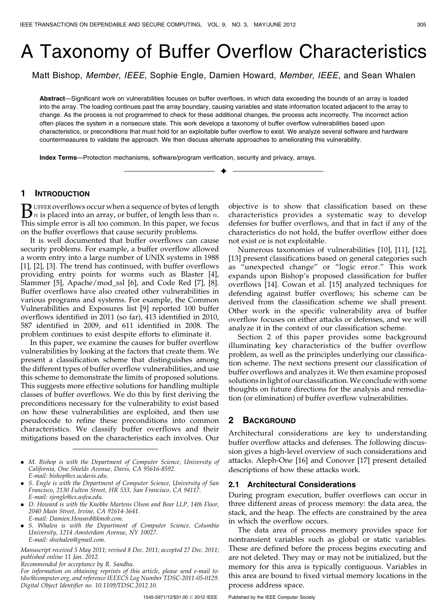# A Taxonomy of Buffer Overflow Characteristics

Matt Bishop, Member, IEEE, Sophie Engle, Damien Howard, Member, IEEE, and Sean Whalen

Abstract-Significant work on vulnerabilities focuses on buffer overflows, in which data exceeding the bounds of an array is loaded into the array. The loading continues past the array boundary, causing variables and state information located adjacent to the array to change. As the process is not programmed to check for these additional changes, the process acts incorrectly. The incorrect action often places the system in a nonsecure state. This work develops a taxonomy of buffer overflow vulnerabilities based upon characteristics, or preconditions that must hold for an exploitable buffer overflow to exist. We analyze several software and hardware countermeasures to validate the approach. We then discuss alternate approaches to ameliorating this vulnerability.

 $\ddotmark$ 

Index Terms—Protection mechanisms, software/program verification, security and privacy, arrays.

## 1 INTRODUCTION

 $\sum_{n=1}^{\infty}$  UFFER overflows occur when a sequence of bytes of length  $n$  is placed into an array, or buffer, of length less than *n*. This simple error is all too common. In this paper, we focus on the buffer overflows that cause security problems.

It is well documented that buffer overflows can cause security problems. For example, a buffer overflow allowed a worm entry into a large number of UNIX systems in 1988 [1], [2], [3]. The trend has continued, with buffer overflows providing entry points for worms such as Blaster [4], Slammer [5], Apache/mod\_ssl [6], and Code Red [7], [8]. Buffer overflows have also created other vulnerabilities in various programs and systems. For example, the Common Vulnerabilities and Exposures list [9] reported 100 buffer overflows identified in 2011 (so far), 413 identified in 2010, 587 identified in 2009, and 611 identified in 2008. The problem continues to exist despite efforts to eliminate it.

In this paper, we examine the causes for buffer overflow vulnerabilities by looking at the factors that create them. We present a classification scheme that distinguishes among the different types of buffer overflow vulnerabilities, and use this scheme to demonstrate the limits of proposed solutions. This suggests more effective solutions for handling multiple classes of buffer overflows. We do this by first deriving the preconditions necessary for the vulnerability to exist based on how these vulnerabilities are exploited, and then use pseudocode to refine these preconditions into common characteristics. We classify buffer overflows and their mitigations based on the characteristics each involves. Our

- . S. Engle is with the Department of Computer Science, University of San Francisco, 2130 Fulton Street, HR 533, San Francisco, CA 94117. E-mail: sjengle@cs.usfca.edu.
- . D. Howard is with the Knobbe Martens Olson and Bear LLP, 14th Floor, 2040 Main Street, Irvine, CA 92614-3641. E-mail: Damien.Howard@kmob.com.
- . S. Whalen is with the Department of Computer Science, Columbia University, 1214 Amsterdam Avenue, NY 10027. E-mail: shwhalen@gmail.com.

Manuscript received 5 May 2011; revised 8 Dec. 2011; accepted 27 Dec. 2011; published online 11 Jan. 2012.

Recommended for acceptance by R. Sandhu.

objective is to show that classification based on these characteristics provides a systematic way to develop defenses for buffer overflows, and that in fact if any of the characteristics do not hold, the buffer overflow either does not exist or is not exploitable.

Numerous taxonomies of vulnerabilities [10], [11], [12], [13] present classifications based on general categories such as "unexpected change" or "logic error." This work expands upon Bishop's proposed classification for buffer overflows [14]. Cowan et al. [15] analyzed techniques for defending against buffer overflows; his scheme can be derived from the classification scheme we shall present. Other work in the specific vulnerability area of buffer overflow focuses on either attacks or defenses, and we will analyze it in the context of our classification scheme.

Section 2 of this paper provides some background illuminating key characteristics of the buffer overflow problem, as well as the principles underlying our classification scheme. The next sections present our classification of buffer overflows and analyzes it. We then examine proposed solutions in light of our classification.We conclude with some thoughts on future directions for the analysis and remediation (or elimination) of buffer overflow vulnerabilities.

## 2 BACKGROUND

Architectural considerations are key to understanding buffer overflow attacks and defenses. The following discussion gives a high-level overview of such considerations and attacks. Aleph-One [16] and Conover [17] present detailed descriptions of how these attacks work.

## 2.1 Architectural Considerations

Published by the IEEE Computer Society

During program execution, buffer overflows can occur in three different areas of process memory: the data area, the stack, and the heap. The effects are constrained by the area in which the overflow occurs.

The data area of process memory provides space for nontransient variables such as global or static variables. These are defined before the process begins executing and are not deleted. They may or may not be initialized, but the memory for this area is typically contiguous. Variables in this area are bound to fixed virtual memory locations in the process address space.

<sup>.</sup> M. Bishop is with the Department of Computer Science, University of California, One Shields Avenue, Davis, CA 95616-8592. E-mail: bishop@cs.ucdavis.edu.

For information on obtaining reprints of this article, please send e-mail to: tdsc@computer.org, and reference IEEECS Log Number TDSC-2011-05-0129. Digital Object Identifier no. 10.1109/TDSC.2012.10.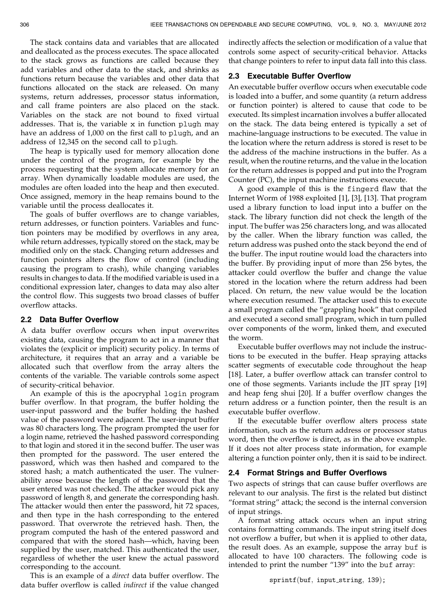The stack contains data and variables that are allocated and deallocated as the process executes. The space allocated to the stack grows as functions are called because they add variables and other data to the stack, and shrinks as functions return because the variables and other data that functions allocated on the stack are released. On many systems, return addresses, processor status information, and call frame pointers are also placed on the stack. Variables on the stack are not bound to fixed virtual addresses. That is, the variable  $x$  in function plugh may have an address of 1,000 on the first call to plugh, and an address of 12,345 on the second call to plugh.

The heap is typically used for memory allocation done under the control of the program, for example by the process requesting that the system allocate memory for an array. When dynamically loadable modules are used, the modules are often loaded into the heap and then executed. Once assigned, memory in the heap remains bound to the variable until the process deallocates it.

The goals of buffer overflows are to change variables, return addresses, or function pointers. Variables and function pointers may be modified by overflows in any area, while return addresses, typically stored on the stack, may be modified only on the stack. Changing return addresses and function pointers alters the flow of control (including causing the program to crash), while changing variables results in changes to data. If the modified variable is used in a conditional expression later, changes to data may also alter the control flow. This suggests two broad classes of buffer overflow attacks.

## 2.2 Data Buffer Overflow

A data buffer overflow occurs when input overwrites existing data, causing the program to act in a manner that violates the (explicit or implicit) security policy. In terms of architecture, it requires that an array and a variable be allocated such that overflow from the array alters the contents of the variable. The variable controls some aspect of security-critical behavior.

An example of this is the apocryphal login program buffer overflow. In that program, the buffer holding the user-input password and the buffer holding the hashed value of the password were adjacent. The user-input buffer was 80 characters long. The program prompted the user for a login name, retrieved the hashed password corresponding to that login and stored it in the second buffer. The user was then prompted for the password. The user entered the password, which was then hashed and compared to the stored hash; a match authenticated the user. The vulnerability arose because the length of the password that the user entered was not checked. The attacker would pick any password of length 8, and generate the corresponding hash. The attacker would then enter the password, hit 72 spaces, and then type in the hash corresponding to the entered password. That overwrote the retrieved hash. Then, the program computed the hash of the entered password and compared that with the stored hash—which, having been supplied by the user, matched. This authenticated the user, regardless of whether the user knew the actual password corresponding to the account.

This is an example of a direct data buffer overflow. The data buffer overflow is called indirect if the value changed indirectly affects the selection or modification of a value that controls some aspect of security-critical behavior. Attacks that change pointers to refer to input data fall into this class.

# 2.3 Executable Buffer Overflow

An executable buffer overflow occurs when executable code is loaded into a buffer, and some quantity (a return address or function pointer) is altered to cause that code to be executed. Its simplest incarnation involves a buffer allocated on the stack. The data being entered is typically a set of machine-language instructions to be executed. The value in the location where the return address is stored is reset to be the address of the machine instructions in the buffer. As a result, when the routine returns, and the value in the location for the return addresses is popped and put into the Program Counter (PC), the input machine instructions execute.

A good example of this is the fingerd flaw that the Internet Worm of 1988 exploited [1], [3], [13]. That program used a library function to load input into a buffer on the stack. The library function did not check the length of the input. The buffer was 256 characters long, and was allocated by the caller. When the library function was called, the return address was pushed onto the stack beyond the end of the buffer. The input routine would load the characters into the buffer. By providing input of more than 256 bytes, the attacker could overflow the buffer and change the value stored in the location where the return address had been placed. On return, the new value would be the location where execution resumed. The attacker used this to execute a small program called the "grappling hook" that compiled and executed a second small program, which in turn pulled over components of the worm, linked them, and executed the worm.

Executable buffer overflows may not include the instructions to be executed in the buffer. Heap spraying attacks scatter segments of executable code throughout the heap [18]. Later, a buffer overflow attack can transfer control to one of those segments. Variants include the JIT spray [19] and heap feng shui [20]. If a buffer overflow changes the return address or a function pointer, then the result is an executable buffer overflow.

If the executable buffer overflow alters process state information, such as the return address or processor status word, then the overflow is direct, as in the above example. If it does not alter process state information, for example altering a function pointer only, then it is said to be indirect.

## 2.4 Format Strings and Buffer Overflows

Two aspects of strings that can cause buffer overflows are relevant to our analysis. The first is the related but distinct "format string" attack; the second is the internal conversion of input strings.

A format string attack occurs when an input string contains formatting commands. The input string itself does not overflow a buffer, but when it is applied to other data, the result does. As an example, suppose the array buf is allocated to have 100 characters. The following code is intended to print the number "139" into the buf array: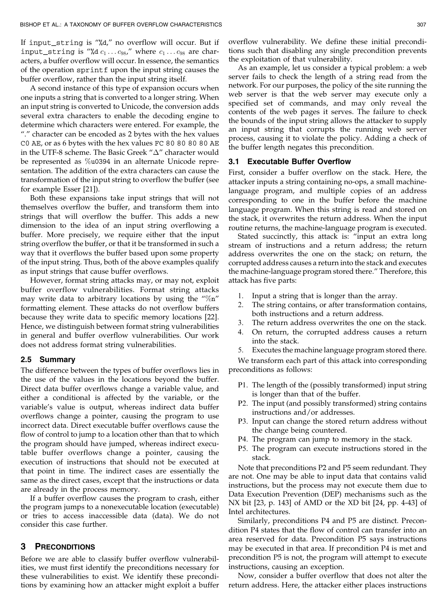If input\_string is "%d," no overflow will occur. But if input\_string is "%d  $c_1 \ldots c_{98}$ ," where  $c_1 \ldots c_{98}$  are characters, a buffer overflow will occur. In essence, the semantics of the operation sprintf upon the input string causes the buffer overflow, rather than the input string itself.

A second instance of this type of expansion occurs when one inputs a string that is converted to a longer string. When an input string is converted to Unicode, the conversion adds several extra characters to enable the decoding engine to determine which characters were entered. For example, the "." character can be encoded as 2 bytes with the hex values C0 AE, or as 6 bytes with the hex values FC 80 80 80 80 AE in the UTF-8 scheme. The Basic Greek  $\mathrm{``}\Delta\mathrm{''}$  character would be represented as %u0394 in an alternate Unicode representation. The addition of the extra characters can cause the transformation of the input string to overflow the buffer (see for example Esser [21]).

Both these expansions take input strings that will not themselves overflow the buffer, and transform them into strings that will overflow the buffer. This adds a new dimension to the idea of an input string overflowing a buffer. More precisely, we require either that the input string overflow the buffer, or that it be transformed in such a way that it overflows the buffer based upon some property of the input string. Thus, both of the above examples qualify as input strings that cause buffer overflows.

However, format string attacks may, or may not, exploit buffer overflow vulnerabilities. Format string attacks may write data to arbitrary locations by using the " $\%$ n" formatting element. These attacks do not overflow buffers because they write data to specific memory locations [22]. Hence, we distinguish between format string vulnerabilities in general and buffer overflow vulnerabilities. Our work does not address format string vulnerabilities.

#### 2.5 Summary

The difference between the types of buffer overflows lies in the use of the values in the locations beyond the buffer. Direct data buffer overflows change a variable value, and either a conditional is affected by the variable, or the variable's value is output, whereas indirect data buffer overflows change a pointer, causing the program to use incorrect data. Direct executable buffer overflows cause the flow of control to jump to a location other than that to which the program should have jumped, whereas indirect executable buffer overflows change a pointer, causing the execution of instructions that should not be executed at that point in time. The indirect cases are essentially the same as the direct cases, except that the instructions or data are already in the process memory.

If a buffer overflow causes the program to crash, either the program jumps to a nonexecutable location (executable) or tries to access inaccessible data (data). We do not consider this case further.

#### 3 PRECONDITIONS

Before we are able to classify buffer overflow vulnerabilities, we must first identify the preconditions necessary for these vulnerabilities to exist. We identify these preconditions by examining how an attacker might exploit a buffer overflow vulnerability. We define these initial preconditions such that disabling any single precondition prevents the exploitation of that vulnerability.

As an example, let us consider a typical problem: a web server fails to check the length of a string read from the network. For our purposes, the policy of the site running the web server is that the web server may execute only a specified set of commands, and may only reveal the contents of the web pages it serves. The failure to check the bounds of the input string allows the attacker to supply an input string that corrupts the running web server process, causing it to violate the policy. Adding a check of the buffer length negates this precondition.

# 3.1 Executable Buffer Overflow

First, consider a buffer overflow on the stack. Here, the attacker inputs a string containing no-ops, a small machinelanguage program, and multiple copies of an address corresponding to one in the buffer before the machine language program. When this string is read and stored on the stack, it overwrites the return address. When the input routine returns, the machine-language program is executed.

Stated succinctly, this attack is: "input an extra long stream of instructions and a return address; the return address overwrites the one on the stack; on return, the corrupted address causes a return into the stack and executes the machine-language program stored there." Therefore, this attack has five parts:

- 1. Input a string that is longer than the array.
- 2. The string contains, or after transformation contains, both instructions and a return address.
- 3. The return address overwrites the one on the stack.
- 4. On return, the corrupted address causes a return into the stack.
- 5. Executes the machine language program stored there.

We transform each part of this attack into corresponding preconditions as follows:

- P1. The length of the (possibly transformed) input string is longer than that of the buffer.
- P2. The input (and possibly transformed) string contains instructions and/or addresses.
- P3. Input can change the stored return address without the change being countered.
- P4. The program can jump to memory in the stack.
- P5. The program can execute instructions stored in the stack.

Note that preconditions P2 and P5 seem redundant. They are not. One may be able to input data that contains valid instructions, but the process may not execute them due to Data Execution Prevention (DEP) mechanisms such as the NX bit [23, p. 143] of AMD or the XD bit [24, pp. 4-43] of Intel architectures.

Similarly, preconditions P4 and P5 are distinct. Precondition P4 states that the flow of control can transfer into an area reserved for data. Precondition P5 says instructions may be executed in that area. If precondition P4 is met and precondition P5 is not, the program will attempt to execute instructions, causing an exception.

Now, consider a buffer overflow that does not alter the return address. Here, the attacker either places instructions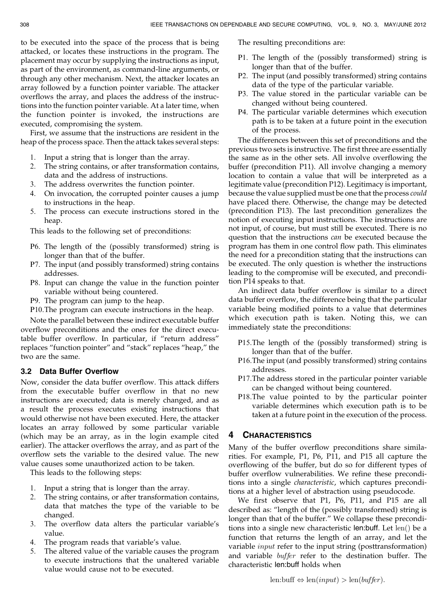to be executed into the space of the process that is being attacked, or locates these instructions in the program. The placement may occur by supplying the instructions as input, as part of the environment, as command-line arguments, or through any other mechanism. Next, the attacker locates an array followed by a function pointer variable. The attacker overflows the array, and places the address of the instructions into the function pointer variable. At a later time, when the function pointer is invoked, the instructions are executed, compromising the system.

First, we assume that the instructions are resident in the heap of the process space. Then the attack takes several steps:

- 1. Input a string that is longer than the array.
- 2. The string contains, or after transformation contains, data and the address of instructions.
- 3. The address overwrites the function pointer.
- 4. On invocation, the corrupted pointer causes a jump to instructions in the heap.
- 5. The process can execute instructions stored in the heap.

This leads to the following set of preconditions:

- P6. The length of the (possibly transformed) string is longer than that of the buffer.
- P7. The input (and possibly transformed) string contains addresses.
- P8. Input can change the value in the function pointer variable without being countered.
- P9. The program can jump to the heap.
- P10.The program can execute instructions in the heap.

Note the parallel between these indirect executable buffer overflow preconditions and the ones for the direct executable buffer overflow. In particular, if "return address" replaces "function pointer" and "stack" replaces "heap," the two are the same.

# 3.2 Data Buffer Overflow

Now, consider the data buffer overflow. This attack differs from the executable buffer overflow in that no new instructions are executed; data is merely changed, and as a result the process executes existing instructions that would otherwise not have been executed. Here, the attacker locates an array followed by some particular variable (which may be an array, as in the login example cited earlier). The attacker overflows the array, and as part of the overflow sets the variable to the desired value. The new value causes some unauthorized action to be taken.

This leads to the following steps:

- 1. Input a string that is longer than the array.
- 2. The string contains, or after transformation contains, data that matches the type of the variable to be changed.
- 3. The overflow data alters the particular variable's value.
- 4. The program reads that variable's value.
- 5. The altered value of the variable causes the program to execute instructions that the unaltered variable value would cause not to be executed.

The resulting preconditions are:

- P1. The length of the (possibly transformed) string is longer than that of the buffer.
- P2. The input (and possibly transformed) string contains data of the type of the particular variable.
- P3. The value stored in the particular variable can be changed without being countered.
- P4. The particular variable determines which execution path is to be taken at a future point in the execution of the process.

The differences between this set of preconditions and the previous two sets is instructive. The first three are essentially the same as in the other sets. All involve overflowing the buffer (precondition P11). All involve changing a memory location to contain a value that will be interpreted as a legitimate value (precondition P12). Legitimacy is important, because the value supplied must be one that the process could have placed there. Otherwise, the change may be detected (precondition P13). The last precondition generalizes the notion of executing input instructions. The instructions are not input, of course, but must still be executed. There is no question that the instructions can be executed because the program has them in one control flow path. This eliminates the need for a precondition stating that the instructions can be executed. The only question is whether the instructions leading to the compromise will be executed, and precondition P14 speaks to that.

An indirect data buffer overflow is similar to a direct data buffer overflow, the difference being that the particular variable being modified points to a value that determines which execution path is taken. Noting this, we can immediately state the preconditions:

- P15.The length of the (possibly transformed) string is longer than that of the buffer.
- P16.The input (and possibly transformed) string contains addresses.
- P17.The address stored in the particular pointer variable can be changed without being countered.
- P18.The value pointed to by the particular pointer variable determines which execution path is to be taken at a future point in the execution of the process.

# 4 CHARACTERISTICS

Many of the buffer overflow preconditions share similarities. For example, P1, P6, P11, and P15 all capture the overflowing of the buffer, but do so for different types of buffer overflow vulnerabilities. We refine these preconditions into a single characteristic, which captures preconditions at a higher level of abstraction using pseudocode.

We first observe that P1, P6, P11, and P15 are all described as: "length of the (possibly transformed) string is longer than that of the buffer." We collapse these preconditions into a single new characteristic len:buff. Let len() be a function that returns the length of an array, and let the variable input refer to the input string (posttransformation) and variable buffer refer to the destination buffer. The characteristic len:buff holds when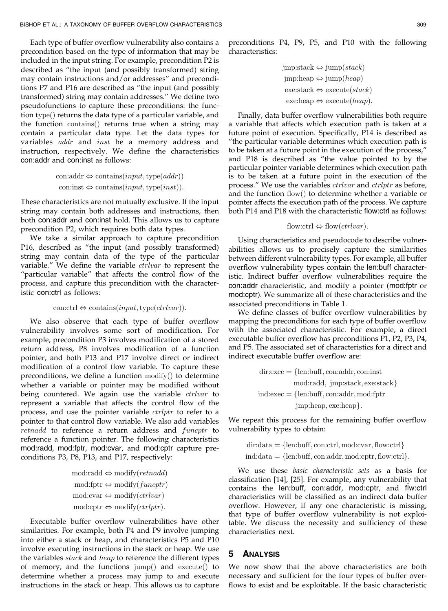Each type of buffer overflow vulnerability also contains a precondition based on the type of information that may be included in the input string. For example, precondition P2 is described as "the input (and possibly transformed) string may contain instructions and/or addresses" and preconditions P7 and P16 are described as "the input (and possibly transformed) string may contain addresses." We define two pseudofunctions to capture these preconditions: the function type() returns the data type of a particular variable, and the function contains $()$  returns true when a string may contain a particular data type. Let the data types for variables addr and inst be a memory address and instruction, respectively. We define the characteristics con:addr and con:inst as follows:

$$
con: addr \Leftrightarrow contains(input, type(addr))
$$
  
con:inst 
$$
\Leftrightarrow contains(input, type(inst)).
$$

These characteristics are not mutually exclusive. If the input string may contain both addresses and instructions, then both con:addr and con:inst hold. This allows us to capture precondition P2, which requires both data types.

We take a similar approach to capture precondition P16, described as "the input (and possibly transformed) string may contain data of the type of the particular variable." We define the variable *ctrlvar* to represent the "particular variable" that affects the control flow of the process, and capture this precondition with the characteristic con:ctrl as follows:

#### con:ctrl  $\Leftrightarrow$  contains $(input, type(ctrlvar)).$

We also observe that each type of buffer overflow vulnerability involves some sort of modification. For example, precondition P3 involves modification of a stored return address, P8 involves modification of a function pointer, and both P13 and P17 involve direct or indirect modification of a control flow variable. To capture these preconditions, we define a function  $\text{modify}()$  to determine whether a variable or pointer may be modified without being countered. We again use the variable ctrlvar to represent a variable that affects the control flow of the process, and use the pointer variable *ctrlptr* to refer to a pointer to that control flow variable. We also add variables retnadd to reference a return address and funcptr to reference a function pointer. The following characteristics mod:radd, mod:fptr, mod:cvar, and mod:cptr capture preconditions P3, P8, P13, and P17, respectively:

$$
mod: \text{radd} \Leftrightarrow \text{modify}(retnadd)
$$
  

$$
\text{mod:} \text{fptr} \Leftrightarrow \text{modify}(trlvar)
$$
  

$$
\text{mod:} \text{curr} \Leftrightarrow \text{modify}(ctrlptr)
$$
  

$$
\text{mod:} \text{cptr} \Leftrightarrow \text{modify}(ctrlptr).
$$

Executable buffer overflow vulnerabilities have other similarities. For example, both P4 and P9 involve jumping into either a stack or heap, and characteristics P5 and P10 involve executing instructions in the stack or heap. We use the variables *stack* and *heap* to reference the different types of memory, and the functions  $jump()$  and  $execute()$  to determine whether a process may jump to and execute instructions in the stack or heap. This allows us to capture

preconditions P4, P9, P5, and P10 with the following characteristics:

$$
jmp:stack \Leftrightarrow jump(state)
$$
  
\n
$$
jmp:heap \Leftrightarrow jump(heap)
$$
  
\n
$$
exec:stack \Leftrightarrow execute(state)
$$
  
\n
$$
exec:heap \Leftrightarrow execute(headp).
$$

Finally, data buffer overflow vulnerabilities both require a variable that affects which execution path is taken at a future point of execution. Specifically, P14 is described as "the particular variable determines which execution path is to be taken at a future point in the execution of the process," and P18 is described as "the value pointed to by the particular pointer variable determines which execution path is to be taken at a future point in the execution of the process." We use the variables ctrlvar and ctrlptr as before, and the function flow $()$  to determine whether a variable or pointer affects the execution path of the process. We capture both P14 and P18 with the characteristic flow:ctrl as follows:

#### flow:ctrl  $\Leftrightarrow$  flow $(ctrlvar)$ .

Using characteristics and pseudocode to describe vulnerabilities allows us to precisely capture the similarities between different vulnerability types. For example, all buffer overflow vulnerability types contain the len:buff characteristic. Indirect buffer overflow vulnerabilities require the con:addr characteristic, and modify a pointer (mod:fptr or mod:cptr). We summarize all of these characteristics and the associated preconditions in Table 1.

We define classes of buffer overflow vulnerabilities by mapping the preconditions for each type of buffer overflow with the associated characteristic. For example, a direct executable buffer overflow has preconditions P1, P2, P3, P4, and P5. The associated set of characteristics for a direct and indirect executable buffer overflow are:

$$
dir: exec = {len:buffer, con:addr, con:inst\n mod:radd, jmp:stack, exec:stack}\n
$$
\n
$$
ind:exec = {len:buffer, con:addr, mod:fptr\n jmp:heap, exec:heap}.
$$

We repeat this process for the remaining buffer overflow vulnerability types to obtain:

$$
dir: data = {len:buff, con:ctrl, mod:cvar, flow:ctrl}
$$

$$
ind: data = {len:buffer, con:addr, mod:cptr, flow:ctrl}.
$$

We use these basic characteristic sets as a basis for classification [14], [25]. For example, any vulnerability that contains the len:buff, con:addr, mod:cptr, and flw:ctrl characteristics will be classified as an indirect data buffer overflow. However, if any one characteristic is missing, that type of buffer overflow vulnerability is not exploitable. We discuss the necessity and sufficiency of these characteristics next.

#### 5 ANALYSIS

We now show that the above characteristics are both necessary and sufficient for the four types of buffer overflows to exist and be exploitable. If the basic characteristic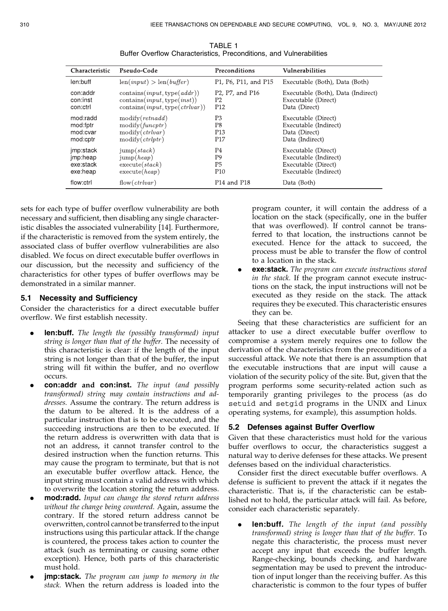| Characteristic                                 | Pseudo-Code                                                                                                 | Preconditions                                                                              | Vulnerabilities                                                                              |
|------------------------------------------------|-------------------------------------------------------------------------------------------------------------|--------------------------------------------------------------------------------------------|----------------------------------------------------------------------------------------------|
| len:buff                                       | len(input) > len(bliffer)                                                                                   | P <sub>1</sub> , P <sub>6</sub> , P <sub>11</sub> , and P <sub>15</sub>                    | Executable (Both), Data (Both)                                                               |
| con:addr<br>con:inst<br>con:ctrl               | contains(input, type(addr))<br>$contains(input, type-inst))$<br>contains(input, type(ctrlvar))              | P <sub>2</sub> , P <sub>7</sub> , and P <sub>16</sub><br>P <sub>2</sub><br>P <sub>12</sub> | Executable (Both), Data (Indirect)<br>Executable (Direct)<br>Data (Direct)                   |
| mod:radd<br>mod:fptr<br>mod:cvar<br>mod:cptr   | modify(retnadd)<br>$\text{modify}(funcptr)$<br>$\text{modify}(ctrlvar)$<br>$\text{modify}( \text{ctrlptr})$ | P <sub>3</sub><br>P8<br>P <sub>13</sub><br>P17                                             | Executable (Direct)<br>Executable (Indirect)<br>Data (Direct)<br>Data (Indirect)             |
| jmp:stack<br>jmp:heap<br>exe:stack<br>exe:heap | $\text{jump}(stack)$<br>$\text{jump}(heap)$<br>execute(stat)<br>execute(heap)                               | P4<br>P9<br>P <sub>5</sub><br>P <sub>10</sub>                                              | Executable (Direct)<br>Executable (Indirect)<br>Executable (Direct)<br>Executable (Indirect) |
| flow:ctrl                                      | flow(ctrlvar)                                                                                               | P <sub>14</sub> and P <sub>18</sub>                                                        | Data (Both)                                                                                  |

TABLE 1 Buffer Overflow Characteristics, Preconditions, and Vulnerabilities

sets for each type of buffer overflow vulnerability are both necessary and sufficient, then disabling any single characteristic disables the associated vulnerability [14]. Furthermore, if the characteristic is removed from the system entirely, the associated class of buffer overflow vulnerabilities are also disabled. We focus on direct executable buffer overflows in our discussion, but the necessity and sufficiency of the characteristics for other types of buffer overflows may be demonstrated in a similar manner.

## 5.1 Necessity and Sufficiency

Consider the characteristics for a direct executable buffer overflow. We first establish necessity.

- **len:buff.** The length the (possibly transformed) input string is longer than that of the buffer. The necessity of this characteristic is clear: if the length of the input string is not longer than that of the buffer, the input string will fit within the buffer, and no overflow occurs.
- con:addr and con:inst. The input (and possibly transformed) string may contain instructions and addresses. Assume the contrary. The return address is the datum to be altered. It is the address of a particular instruction that is to be executed, and the succeeding instructions are then to be executed. If the return address is overwritten with data that is not an address, it cannot transfer control to the desired instruction when the function returns. This may cause the program to terminate, but that is not an executable buffer overflow attack. Hence, the input string must contain a valid address with which to overwrite the location storing the return address.
- mod:radd. Input can change the stored return address without the change being countered. Again, assume the contrary. If the stored return address cannot be overwritten, control cannot be transferred to the input instructions using this particular attack. If the change is countered, the process takes action to counter the attack (such as terminating or causing some other exception). Hence, both parts of this characteristic must hold.
- **imp:stack.** The program can jump to memory in the stack. When the return address is loaded into the

program counter, it will contain the address of a location on the stack (specifically, one in the buffer that was overflowed). If control cannot be transferred to that location, the instructions cannot be executed. Hence for the attack to succeed, the process must be able to transfer the flow of control to a location in the stack.

exe: stack. The program can execute instructions stored in the stack. If the program cannot execute instructions on the stack, the input instructions will not be executed as they reside on the stack. The attack requires they be executed. This characteristic ensures they can be.

Seeing that these characteristics are sufficient for an attacker to use a direct executable buffer overflow to compromise a system merely requires one to follow the derivation of the characteristics from the preconditions of a successful attack. We note that there is an assumption that the executable instructions that are input will cause a violation of the security policy of the site. But, given that the program performs some security-related action such as temporarily granting privileges to the process (as do setuid and setgid programs in the UNIX and Linux operating systems, for example), this assumption holds.

## 5.2 Defenses against Buffer Overflow

Given that these characteristics must hold for the various buffer overflows to occur, the characteristics suggest a natural way to derive defenses for these attacks. We present defenses based on the individual characteristics.

Consider first the direct executable buffer overflows. A defense is sufficient to prevent the attack if it negates the characteristic. That is, if the characteristic can be established not to hold, the particular attack will fail. As before, consider each characteristic separately.

len:buff. The length of the input (and possibly transformed) string is longer than that of the buffer. To negate this characteristic, the process must never accept any input that exceeds the buffer length. Range-checking, bounds checking, and hardware segmentation may be used to prevent the introduction of input longer than the receiving buffer. As this characteristic is common to the four types of buffer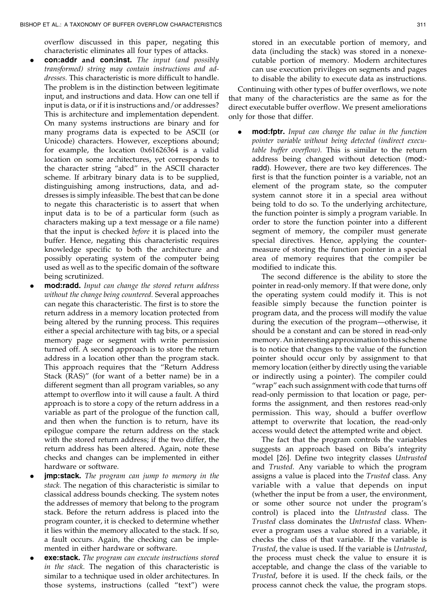overflow discussed in this paper, negating this characteristic eliminates all four types of attacks.

- con:addr and con:inst. The input (and possibly transformed) string may contain instructions and addresses. This characteristic is more difficult to handle. The problem is in the distinction between legitimate input, and instructions and data. How can one tell if input is data, or if it is instructions and/or addresses? This is architecture and implementation dependent. On many systems instructions are binary and for many programs data is expected to be ASCII (or Unicode) characters. However, exceptions abound; for example, the location 0x61626364 is a valid location on some architectures, yet corresponds to the character string "abcd" in the ASCII character scheme. If arbitrary binary data is to be supplied, distinguishing among instructions, data, and addresses is simply infeasible. The best that can be done to negate this characteristic is to assert that when input data is to be of a particular form (such as characters making up a text message or a file name) that the input is checked before it is placed into the buffer. Hence, negating this characteristic requires knowledge specific to both the architecture and possibly operating system of the computer being used as well as to the specific domain of the software being scrutinized.
- mod:radd. Input can change the stored return address without the change being countered. Several approaches can negate this characteristic. The first is to store the return address in a memory location protected from being altered by the running process. This requires either a special architecture with tag bits, or a special memory page or segment with write permission turned off. A second approach is to store the return address in a location other than the program stack. This approach requires that the "Return Address Stack (RAS)" (for want of a better name) be in a different segment than all program variables, so any attempt to overflow into it will cause a fault. A third approach is to store a copy of the return address in a variable as part of the prologue of the function call, and then when the function is to return, have its epilogue compare the return address on the stack with the stored return address; if the two differ, the return address has been altered. Again, note these checks and changes can be implemented in either hardware or software.
- **imp:stack.** The program can jump to memory in the stack. The negation of this characteristic is similar to classical address bounds checking. The system notes the addresses of memory that belong to the program stack. Before the return address is placed into the program counter, it is checked to determine whether it lies within the memory allocated to the stack. If so, a fault occurs. Again, the checking can be implemented in either hardware or software.
- **exe:stack.** The program can execute instructions stored in the stack. The negation of this characteristic is similar to a technique used in older architectures. In those systems, instructions (called "text") were

stored in an executable portion of memory, and data (including the stack) was stored in a nonexecutable portion of memory. Modern architectures can use execution privileges on segments and pages to disable the ability to execute data as instructions.

Continuing with other types of buffer overflows, we note that many of the characteristics are the same as for the direct executable buffer overflow. We present ameliorations only for those that differ.

**mod:fptr.** Input can change the value in the function pointer variable without being detected (indirect executable buffer overflow). This is similar to the return address being changed without detection (mod: radd). However, there are two key differences. The first is that the function pointer is a variable, not an element of the program state, so the computer system cannot store it in a special area without being told to do so. To the underlying architecture, the function pointer is simply a program variable. In order to store the function pointer into a different segment of memory, the compiler must generate special directives. Hence, applying the countermeasure of storing the function pointer in a special area of memory requires that the compiler be modified to indicate this.

The second difference is the ability to store the pointer in read-only memory. If that were done, only the operating system could modify it. This is not feasible simply because the function pointer is program data, and the process will modify the value during the execution of the program—otherwise, it should be a constant and can be stored in read-only memory. An interesting approximation to this scheme is to notice that changes to the value of the function pointer should occur only by assignment to that memory location (either by directly using the variable or indirectly using a pointer). The compiler could "wrap" each such assignment with code that turns off read-only permission to that location or page, performs the assignment, and then restores read-only permission. This way, should a buffer overflow attempt to overwrite that location, the read-only access would detect the attempted write and object.

The fact that the program controls the variables suggests an approach based on Biba's integrity model [26]. Define two integrity classes Untrusted and Trusted. Any variable to which the program assigns a value is placed into the Trusted class. Any variable with a value that depends on input (whether the input be from a user, the environment, or some other source not under the program's control) is placed into the Untrusted class. The Trusted class dominates the Untrusted class. Whenever a program uses a value stored in a variable, it checks the class of that variable. If the variable is Trusted, the value is used. If the variable is Untrusted, the process must check the value to ensure it is acceptable, and change the class of the variable to Trusted, before it is used. If the check fails, or the process cannot check the value, the program stops.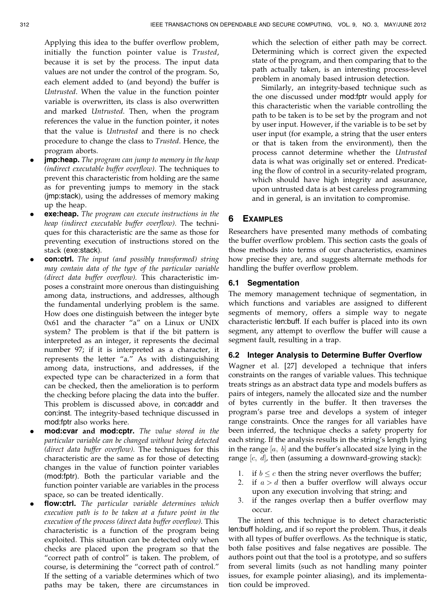Applying this idea to the buffer overflow problem, initially the function pointer value is Trusted, because it is set by the process. The input data values are not under the control of the program. So, each element added to (and beyond) the buffer is Untrusted. When the value in the function pointer variable is overwritten, its class is also overwritten and marked Untrusted. Then, when the program references the value in the function pointer, it notes that the value is Untrusted and there is no check procedure to change the class to Trusted. Hence, the program aborts.

- **imp:heap.** The program can jump to memory in the heap (indirect executable buffer overflow). The techniques to prevent this characteristic from holding are the same as for preventing jumps to memory in the stack (jmp:stack), using the addresses of memory making up the heap.
- exe:heap. The program can execute instructions in the heap (indirect executable buffer overflow). The techniques for this characteristic are the same as those for preventing execution of instructions stored on the stack (exe:stack).
- con:ctrl. The input (and possibly transformed) string may contain data of the type of the particular variable (direct data buffer overflow). This characteristic imposes a constraint more onerous than distinguishing among data, instructions, and addresses, although the fundamental underlying problem is the same. How does one distinguish between the integer byte 0x61 and the character "a" on a Linux or UNIX system? The problem is that if the bit pattern is interpreted as an integer, it represents the decimal number 97; if it is interpreted as a character, it represents the letter "a." As with distinguishing among data, instructions, and addresses, if the expected type can be characterized in a form that can be checked, then the amelioration is to perform the checking before placing the data into the buffer. This problem is discussed above, in con:addr and con:inst. The integrity-based technique discussed in mod:fptr also works here.
- mod:cvar and mod:cptr. The value stored in the particular variable can be changed without being detected (direct data buffer overflow). The techniques for this characteristic are the same as for those of detecting changes in the value of function pointer variables (mod:fptr). Both the particular variable and the function pointer variable are variables in the process space, so can be treated identically.
- flow:ctrl. The particular variable determines which execution path is to be taken at a future point in the execution of the process (direct data buffer overflow). This characteristic is a function of the program being exploited. This situation can be detected only when checks are placed upon the program so that the "correct path of control" is taken. The problem, of course, is determining the "correct path of control." If the setting of a variable determines which of two paths may be taken, there are circumstances in

which the selection of either path may be correct. Determining which is correct given the expected state of the program, and then comparing that to the path actually taken, is an interesting process-level problem in anomaly based intrusion detection.

Similarly, an integrity-based technique such as the one discussed under mod:fptr would apply for this characteristic when the variable controlling the path to be taken is to be set by the program and not by user input. However, if the variable is to be set by user input (for example, a string that the user enters or that is taken from the environment), then the process cannot determine whether the Untrusted data is what was originally set or entered. Predicating the flow of control in a security-related program, which should have high integrity and assurance, upon untrusted data is at best careless programming and in general, is an invitation to compromise.

# 6 EXAMPLES

Researchers have presented many methods of combating the buffer overflow problem. This section casts the goals of those methods into terms of our characteristics, examines how precise they are, and suggests alternate methods for handling the buffer overflow problem.

#### 6.1 Segmentation

The memory management technique of segmentation, in which functions and variables are assigned to different segments of memory, offers a simple way to negate characteristic len:buff. If each buffer is placed into its own segment, any attempt to overflow the buffer will cause a segment fault, resulting in a trap.

## 6.2 Integer Analysis to Determine Buffer Overflow

Wagner et al. [27] developed a technique that infers constraints on the ranges of variable values. This technique treats strings as an abstract data type and models buffers as pairs of integers, namely the allocated size and the number of bytes currently in the buffer. It then traverses the program's parse tree and develops a system of integer range constraints. Once the ranges for all variables have been inferred, the technique checks a safety property for each string. If the analysis results in the string's length lying in the range  $[a,\ b]$  and the buffer's allocated size lying in the range  $[c, d]$ , then (assuming a downward-growing stack):

- 1. if  $b \leq c$  then the string never overflows the buffer;
- if  $a > d$  then a buffer overflow will always occur upon any execution involving that string; and
- 3. if the ranges overlap then a buffer overflow may occur.

The intent of this technique is to detect characteristic len:buff holding, and if so report the problem. Thus, it deals with all types of buffer overflows. As the technique is static, both false positives and false negatives are possible. The authors point out that the tool is a prototype, and so suffers from several limits (such as not handling many pointer issues, for example pointer aliasing), and its implementation could be improved.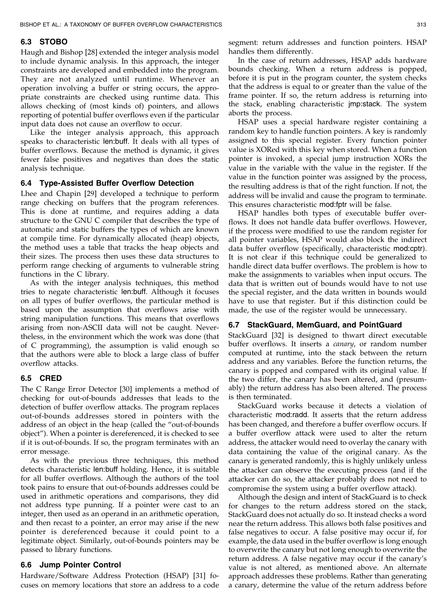## 6.3 STOBO

Haugh and Bishop [28] extended the integer analysis model to include dynamic analysis. In this approach, the integer constraints are developed and embedded into the program. They are not analyzed until runtime. Whenever an operation involving a buffer or string occurs, the appropriate constraints are checked using runtime data. This allows checking of (most kinds of) pointers, and allows reporting of potential buffer overflows even if the particular input data does not cause an overflow to occur.

Like the integer analysis approach, this approach speaks to characteristic len:buff. It deals with all types of buffer overflows. Because the method is dynamic, it gives fewer false positives and negatives than does the static analysis technique.

## 6.4 Type-Assisted Buffer Overflow Detection

Lhee and Chapin [29] developed a technique to perform range checking on buffers that the program references. This is done at runtime, and requires adding a data structure to the GNU C compiler that describes the type of automatic and static buffers the types of which are known at compile time. For dynamically allocated (heap) objects, the method uses a table that tracks the heap objects and their sizes. The process then uses these data structures to perform range checking of arguments to vulnerable string functions in the C library.

As with the integer analysis techniques, this method tries to negate characteristic len:buff. Although it focuses on all types of buffer overflows, the particular method is based upon the assumption that overflows arise with string manipulation functions. This means that overflows arising from non-ASCII data will not be caught. Nevertheless, in the environment which the work was done (that of C programming), the assumption is valid enough so that the authors were able to block a large class of buffer overflow attacks.

#### 6.5 CRED

The C Range Error Detector [30] implements a method of checking for out-of-bounds addresses that leads to the detection of buffer overflow attacks. The program replaces out-of-bounds addresses stored in pointers with the address of an object in the heap (called the "out-of-bounds object"). When a pointer is dereferenced, it is checked to see if it is out-of-bounds. If so, the program terminates with an error message.

As with the previous three techniques, this method detects characteristic len:buff holding. Hence, it is suitable for all buffer overflows. Although the authors of the tool took pains to ensure that out-of-bounds addresses could be used in arithmetic operations and comparisons, they did not address type punning. If a pointer were cast to an integer, then used as an operand in an arithmetic operation, and then recast to a pointer, an error may arise if the new pointer is dereferenced because it could point to a legitimate object. Similarly, out-of-bounds pointers may be passed to library functions.

#### 6.6 Jump Pointer Control

Hardware/Software Address Protection (HSAP) [31] focuses on memory locations that store an address to a code segment: return addresses and function pointers. HSAP handles them differently.

In the case of return addresses, HSAP adds hardware bounds checking. When a return address is popped, before it is put in the program counter, the system checks that the address is equal to or greater than the value of the frame pointer. If so, the return address is returning into the stack, enabling characteristic jmp:stack. The system aborts the process.

HSAP uses a special hardware register containing a random key to handle function pointers. A key is randomly assigned to this special register. Every function pointer value is XORed with this key when stored. When a function pointer is invoked, a special jump instruction XORs the value in the variable with the value in the register. If the value in the function pointer was assigned by the process, the resulting address is that of the right function. If not, the address will be invalid and cause the program to terminate. This ensures characteristic mod:fptr will be false.

HSAP handles both types of executable buffer overflows. It does not handle data buffer overflows. However, if the process were modified to use the random register for all pointer variables, HSAP would also block the indirect data buffer overflow (specifically, characteristic mod:cptr). It is not clear if this technique could be generalized to handle direct data buffer overflows. The problem is how to make the assignments to variables when input occurs. The data that is written out of bounds would have to not use the special register, and the data written in bounds would have to use that register. But if this distinction could be made, the use of the register would be unnecessary.

#### 6.7 StackGuard, MemGuard, and PointGuard

StackGuard [32] is designed to thwart direct executable buffer overflows. It inserts a canary, or random number computed at runtime, into the stack between the return address and any variables. Before the function returns, the canary is popped and compared with its original value. If the two differ, the canary has been altered, and (presumably) the return address has also been altered. The process is then terminated.

StackGuard works because it detects a violation of characteristic mod:radd. It asserts that the return address has been changed, and therefore a buffer overflow occurs. If a buffer overflow attack were used to alter the return address, the attacker would need to overlay the canary with data containing the value of the original canary. As the canary is generated randomly, this is highly unlikely unless the attacker can observe the executing process (and if the attacker can do so, the attacker probably does not need to compromise the system using a buffer overflow attack).

Although the design and intent of StackGuard is to check for changes to the return address stored on the stack, StackGuard does not actually do so. It instead checks a word near the return address. This allows both false positives and false negatives to occur. A false positive may occur if, for example, the data used in the buffer overflow is long enough to overwrite the canary but not long enough to overwrite the return address. A false negative may occur if the canary's value is not altered, as mentioned above. An alternate approach addresses these problems. Rather than generating a canary, determine the value of the return address before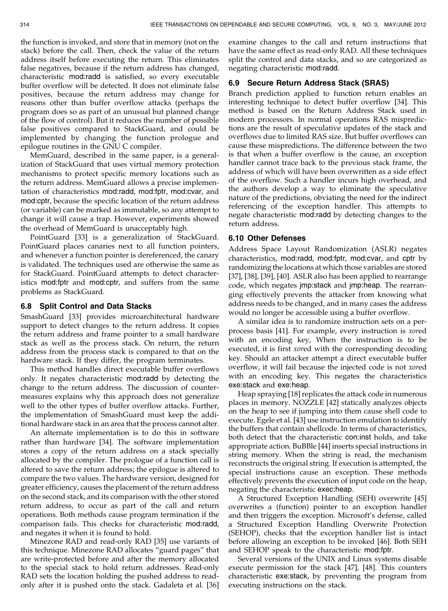the function is invoked, and store that in memory (not on the stack) before the call. Then, check the value of the return address itself before executing the return. This eliminates false negatives, because if the return address has changed, characteristic mod:radd is satisfied, so every executable buffer overflow will be detected. It does not eliminate false positives, because the return address may change for reasons other than buffer overflow attacks (perhaps the program does so as part of an unusual but planned change of the flow of control). But it reduces the number of possible false positives compared to StackGuard, and could be implemented by changing the function prologue and epilogue routines in the GNU C compiler.

MemGuard, described in the same paper, is a generalization of StackGuard that uses virtual memory protection mechanisms to protect specific memory locations such as the return address. MemGuard allows a precise implementation of characteristics mod:radd, mod:fptr, mod:cvar, and mod:cptr, because the specific location of the return address (or variable) can be marked as immutable, so any attempt to change it will cause a trap. However, experiments showed the overhead of MemGuard is unacceptably high.

PointGuard [33] is a generalization of StackGuard. PointGuard places canaries next to all function pointers, and whenever a function pointer is dereferenced, the canary is validated. The techniques used are otherwise the same as for StackGuard. PointGuard attempts to detect characteristics mod:fptr and mod:cptr, and suffers from the same problems as StackGuard.

#### 6.8 Split Control and Data Stacks

SmashGuard [33] provides microarchitectural hardware support to detect changes to the return address. It copies the return address and frame pointer to a small hardware stack as well as the process stack. On return, the return address from the process stack is compared to that on the hardware stack. If they differ, the program terminates.

This method handles direct executable buffer overflows only. It negates characteristic mod:radd by detecting the change to the return address. The discussion of countermeasures explains why this approach does not generalize well to the other types of buffer overflow attacks. Further, the implementation of SmashGuard must keep the additional hardware stack in an area that the process cannot alter.

An alternate implementation is to do this in software rather than hardware [34]. The software implementation stores a copy of the return address on a stack specially allocated by the compiler. The prologue of a function call is altered to save the return address; the epilogue is altered to compare the two values. The hardware version, designed for greater efficiency, causes the placement of the return address on the second stack, and its comparison with the other stored return address, to occur as part of the call and return operations. Both methods cause program termination if the comparison fails. This checks for characteristic mod:radd, and negates it when it is found to hold.

Minezone RAD and read-only RAD [35] use variants of this technique. Minezone RAD allocates "guard pages" that are write-protected before and after the memory allocated to the special stack to hold return addresses. Read-only RAD sets the location holding the pushed address to readonly after it is pushed onto the stack. Gadaleta et al. [36]

examine changes to the call and return instructions that have the same effect as read-only RAD. All these techniques split the control and data stacks, and so are categorized as negating characteristic mod:radd.

#### 6.9 Secure Return Address Stack (SRAS)

Branch prediction applied to function return enables an interesting technique to detect buffer overflow [34]. This method is based on the Return Address Stack used in modern processors. In normal operations RAS mispredictions are the result of speculative updates of the stack and overflows due to limited RAS size. But buffer overflows can cause these mispredictions. The difference between the two is that when a buffer overflow is the cause, an exception handler cannot trace back to the previous stack frame, the address of which will have been overwritten as a side effect of the overflow. Such a handler incurs high overhead, and the authors develop a way to eliminate the speculative nature of the predictions, obviating the need for the indirect referencing of the exception handler. This attempts to negate characteristic mod:radd by detecting changes to the return address.

## 6.10 Other Defenses

Address Space Layout Randomization (ASLR) negates characteristics, mod:radd, mod:fptr, mod:cvar, and cptr by randomizing the locations at which those variables are stored [37], [38], [39], [40]. ASLR also has been applied to rearrange code, which negates jmp:stack and jmp:heap. The rearranging effectively prevents the attacker from knowing what address needs to be changed, and in many cases the address would no longer be accessible using a buffer overflow.

A similar idea is to randomize instruction sets on a perprocess basis [41]. For example, every instruction is xored with an encoding key, When the instruction is to be executed, it is first xored with the corresponding decoding key. Should an attacker attempt a direct executable buffer overflow, it will fail because the injected code is not xored with an encoding key. This negates the characteristics exe:stack and exe:heap.

Heap spraying [18] replicates the attack code in numerous places in memory. NOZZLE [42] statically analyzes objects on the heap to see if jumping into them cause shell code to execute. Egele et al. [43] use instruction emulation to identify the buffers that contain shellcode. In terms of characteristics, both detect that the characteristic con:inst holds, and take appropriate action. BuBBle [44] inserts special instructions in string memory. When the string is read, the mechanism reconstructs the original string. If execution is attempted, the special instructions cause an exception. These methods effectively prevents the execution of input code on the heap, negating the characteristic exec:heap.

A Structured Exception Handling (SEH) overwrite [45] overwrites a (function) pointer to an exception handler and then triggers the exception. Microsoft's defense, called a Structured Exception Handling Overwrite Protection (SEHOP), checks that the exception handler list is intact before allowing an exception to be invoked [46]. Both SEH and SEHOP speak to the characteristic mod:fptr.

Several versions of the UNIX and Linux systems disable execute permission for the stack [47], [48]. This counters characteristic exe:stack, by preventing the program from executing instructions on the stack.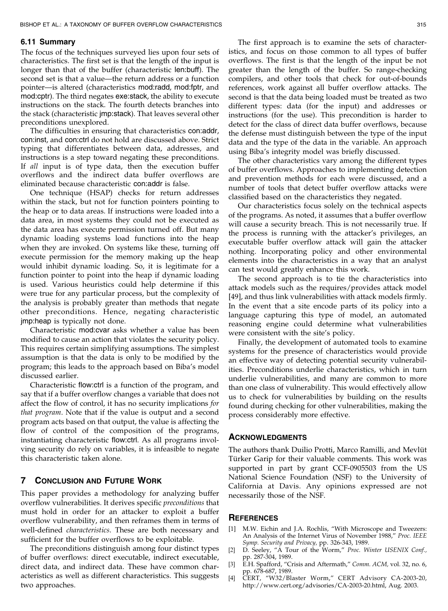# 6.11 Summary

The focus of the techniques surveyed lies upon four sets of characteristics. The first set is that the length of the input is longer than that of the buffer (characteristic len:buff). The second set is that a value—the return address or a function pointer—is altered (characteristics mod:radd, mod:fptr, and mod:cptr). The third negates exe:stack, the ability to execute instructions on the stack. The fourth detects branches into the stack (characteristic jmp:stack). That leaves several other preconditions unexplored.

The difficulties in ensuring that characteristics con:addr, con:inst, and con:ctrl do not hold are discussed above. Strict typing that differentiates between data, addresses, and instructions is a step toward negating these preconditions. If all input is of type data, then the execution buffer overflows and the indirect data buffer overflows are eliminated because characteristic con:addr is false.

One technique (HSAP) checks for return addresses within the stack, but not for function pointers pointing to the heap or to data areas. If instructions were loaded into a data area, in most systems they could not be executed as the data area has execute permission turned off. But many dynamic loading systems load functions into the heap when they are invoked. On systems like these, turning off execute permission for the memory making up the heap would inhibit dynamic loading. So, it is legitimate for a function pointer to point into the heap if dynamic loading is used. Various heuristics could help determine if this were true for any particular process, but the complexity of the analysis is probably greater than methods that negate other preconditions. Hence, negating characteristic jmp:heap is typically not done.

Characteristic mod:cvar asks whether a value has been modified to cause an action that violates the security policy. This requires certain simplifying assumptions. The simplest assumption is that the data is only to be modified by the program; this leads to the approach based on Biba's model discussed earlier.

Characteristic flow:ctrl is a function of the program, and say that if a buffer overflow changes a variable that does not affect the flow of control, it has no security implications for that program. Note that if the value is output and a second program acts based on that output, the value is affecting the flow of control of the composition of the programs, instantiating characteristic flow:ctrl. As all programs involving security do rely on variables, it is infeasible to negate this characteristic taken alone.

## 7 CONCLUSION AND FUTURE WORK

This paper provides a methodology for analyzing buffer overflow vulnerabilities. It derives specific preconditions that must hold in order for an attacker to exploit a buffer overflow vulnerability, and then reframes them in terms of well-defined characteristics. These are both necessary and sufficient for the buffer overflows to be exploitable.

The preconditions distinguish among four distinct types of buffer overflows: direct executable, indirect executable, direct data, and indirect data. These have common characteristics as well as different characteristics. This suggests two approaches.

The first approach is to examine the sets of characteristics, and focus on those common to all types of buffer overflows. The first is that the length of the input be not greater than the length of the buffer. So range-checking compilers, and other tools that check for out-of-bounds references, work against all buffer overflow attacks. The second is that the data being loaded must be treated as two different types: data (for the input) and addresses or instructions (for the use). This precondition is harder to detect for the class of direct data buffer overflows, because the defense must distinguish between the type of the input data and the type of the data in the variable. An approach using Biba's integrity model was briefly discussed.

The other characteristics vary among the different types of buffer overflows. Approaches to implementing detection and prevention methods for each were discussed, and a number of tools that detect buffer overflow attacks were classified based on the characteristics they negated.

Our characteristics focus solely on the technical aspects of the programs. As noted, it assumes that a buffer overflow will cause a security breach. This is not necessarily true. If the process is running with the attacker's privileges, an executable buffer overflow attack will gain the attacker nothing. Incorporating policy and other environmental elements into the characteristics in a way that an analyst can test would greatly enhance this work.

The second approach is to tie the characteristics into attack models such as the requires/provides attack model [49], and thus link vulnerabilities with attack models firmly. In the event that a site encode parts of its policy into a language capturing this type of model, an automated reasoning engine could determine what vulnerabilities were consistent with the site's policy.

Finally, the development of automated tools to examine systems for the presence of characteristics would provide an effective way of detecting potential security vulnerabilities. Preconditions underlie characteristics, which in turn underlie vulnerabilities, and many are common to more than one class of vulnerability. This would effectively allow us to check for vulnerabilities by building on the results found during checking for other vulnerabilities, making the process considerably more effective.

#### **ACKNOWLEDGMENTS**

The authors thank Duilio Protti, Marco Ramilli, and Mevlüt Türker Garip for their valuable comments. This work was supported in part by grant CCF-0905503 from the US National Science Foundation (NSF) to the University of California at Davis. Any opinions expressed are not necessarily those of the NSF.

#### **REFERENCES**

- [1] M.W. Eichin and J.A. Rochlis, "With Microscope and Tweezers: An Analysis of the Internet Virus of November 1988," Proc. IEEE Symp. Security and Privacy, pp. 326-343, 1989.
- [2] D. Seeley, "A Tour of the Worm," Proc. Winter USENIX Conf., pp. 287-304, 1989.
- [3] E.H. Spafford, "Crisis and Aftermath," Comm. ACM, vol. 32, no. 6, pp. 678-687, 1989.
- [4] CERT, "W32/Blaster Worm," CERT Advisory CA-2003-20, http://www.cert.org/advisories/CA-2003-20.html, Aug. 2003.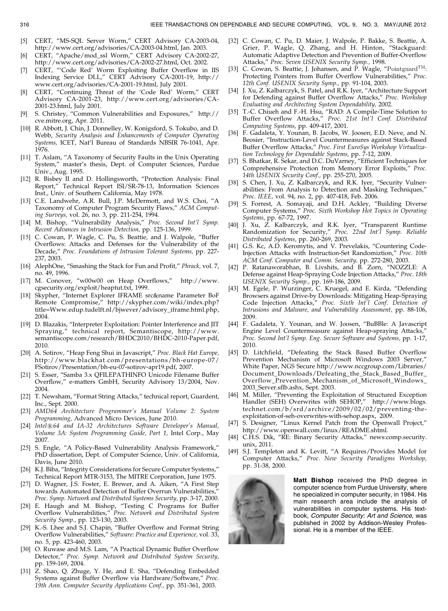- [5] CERT, "MS-SQL Server Worm," CERT Advisory CA-2003-04, http://www.cert.org/advisories/CA-2003-04.html, Jan. 2003.
- [6] CERT, "Apache/mod\_ssl Worm," CERT Advisory CA-2002-27, http://www.cert.org/advisories/CA-2002-27.html, Oct. 2002.
- [7] CERT, "'Code Red' Worm Exploiting Buffer Overflow in IIS Indexing Service DLL," CERT Advisory CA-2001-19, http:// www.cert.org/advisories/CA-2001-19.html, July 2001.
- [8] CERT, "Continuing Threat of the 'Code Red' Worm," CERT Advisory CA-2001-23, http://www.cert.org/advisories/CA-2001-23.html, July 2001.
- [9] S. Christey, "Common Vulnerabilities and Exposures," http:// cve.mitre.org, Apr. 2011.
- [10] R. Abbott, J. Chin, J. Donnelley, W. Konigsford, S. Tokubo, and D. Webb, Security Analysis and Enhancements of Computer Operating Systems, ICET, Nat'l Bureau of Standards NBSIR 76-1041, Apr. 1976.
- [11] T. Aslam, "A Taxonomy of Security Faults in the Unix Operating System," master's thesis, Dept. of Computer Sciences, Purdue Univ., Aug. 1995.
- [12] R. Bisbey II and D. Hollingsworth, "Protection Analysis: Final Report," Technical Report ISI/SR-78-13, Information Sciences Inst., Univ. of Southern California, May 1978.
- [13] C.E. Landwehr, A.R. Bull, J.P. McDermott, and W.S. Choi, "A Taxonomy of Computer Program Security Flaws," ACM Computing Surveys, vol. 26, no. 3, pp. 211-254, 1994.
- [14] M. Bishop, "Vulnerability Analysis," Proc. Second Int'l Symp. Recent Advances in Intrusion Detection, pp. 125-136, 1999.
- [15] C. Cowan, P. Wagle, C. Pu, S. Beattie, and J. Walpole, "Buffer Overflows: Attacks and Defenses for the Vulnerability of the Decade," Proc. Foundations of Intrusion Tolerant Systems, pp. 227- 237, 2003.
- [16] AlephOne, "Smashing the Stack for Fun and Profit," Phrack, vol. 7, no. 49, 1996.
- [17] M. Conover, "w00w00 on Heap Overflows," http://www. cgsecurity.org/exploit/heaptut.txt, 1999.
- [18] Skypher, "Internet Explorer IFRAME src&name Parameter BoF Remote Compromise," http://skypher.com/wiki/index.php? title=Www.edup.tudelft.nl/bjwever/advisory\_iframe.html.php, 2004.
- [19] D. Blazakis, "Interpreter Exploitation: Pointer Interference and JIT Spraying," technical report, Semantiscope, http://www. semantiscope.com/research/BHDC2010/BHDC-2010-Paper.pdf, 2010.
- [20] A. Sotirov, "Heap Feng Shui in Javascript," Proc. Black Hat Europe, http://www.blackhat.com/presentations/bh-europe-07/ FSotirov/Presentation/bh-eu-07-sotirov-apr19.pdf, 2007.
- [21] S. Esser, "Samba 3.x QFILEPATHINFO Unicode Filename Buffer Overflow," e-matters GmbH, Security Advisory 13/2004, Nov. 2004.
- [22] T. Newsham, "Format String Attacks," technical report, Guardent, Inc., Sept. 2000.
- [23] AMD64 Architecture Programmer's Manual Volume 2: System Programming, Advanced Micro Devices, June 2010.
- [24] Intel®64 and IA-32 Architectures Software Developer's Manual, Volume 3A: System Programming Guide, Part 1, Intel Corp., May 2007.
- [25] S. Engle, "A Policy-Based Vulnerability Analysis Framework," PhD dissertation, Dept. of Computer Science, Univ. of California, Davis, June 2010.
- [26] K.J. Biba, "Integrity Considerations for Secure Computer Systems," Technical Report MTR-3153, The MITRE Corporation, June 1975.
- [27] D. Wagner, J.S. Foster, E. Brewer, and A. Aiken, "A First Step towards Automated Detection of Buffer Overrun Vulnerabilities, Proc. Symp. Network and Distributed Systems Security, pp. 3-17, 2000.
- [28] E. Haugh and M. Bishop, "Testing C Programs for Buffer Overflow Vulnerabilities," Proc. Network and Distributed System Security Symp., pp. 123-130, 2003.
- [29] K.-S. Lhee and S.J. Chapin, "Buffer Overflow and Format String Overflow Vulnerabilities," Software: Practice and Experience, vol. 33, no. 5, pp. 423-460, 2003.
- [30] O. Ruwase and M.S. Lam, "A Practical Dynamic Buffer Overflow Detector," Proc. Symp. Network and Distributed System Security, pp. 159-169, 2004.
- [31] Z. Shao, Q. Zhuge, Y. He, and E. Sha, "Defending Embedded Systems against Buffer Overflow via Hardware/Software," Proc. 19th Ann. Computer Security Applications Conf., pp. 351-361, 2003.
- [32] C. Cowan, C. Pu, D. Maier, J. Walpole, P. Bakke, S. Beattie, A. Grier, P. Wagle, Q. Zhang, and H. Hinton, "Stackguard: Automatic Adaptive Detection and Prevention of Buffer-Overflow Attacks," Proc. Seven USENIX Security Symp., 1998.
- [33] C. Cowan, S. Beattie, J. Johansen, and P. Wagle, "Pointguard  $TM$ : Protecting Pointers from Buffer Overflow Vulnerabilities," Proc. 12th Conf. USENIX Security Symp., pp. 91-104, 2003.
- [34] J. Xu, Z. Kalbarczyk, S. Patel, and R.K. Iyer, "Architecture Support for Defending against Buffer Overflow Attacks," Proc. Workshop Evaluating and Architecting System Dependability, 2002.
- [35] T.-C. Chiueh and F.-H. Hsu, "RAD: A Compile-Time Solution to Buffer Overflow Attacks," Proc. 21st Int'l Conf. Distributed Computing Systems, pp. 409-417, 2001.
- [36] F. Gadaleta, Y. Younan, B. Jacobs, W. Joosen, E.D. Neve, and N. Beosier, "Instruction-Level Countermeasures against Stack-Based Buffer Overflow Attacks," Proc. First EuroSys Workshop Virtualization Technology for Dependable Systems, pp. 7-12, 2009.
- [37] S. Bhatkar, R. Sekar, and D.C. DuVarney, "Efficient Techniques for Comprehensive Protection from Memory Error Exploits," Proc. 14th USENIX Security Conf., pp. 255-270, 2005.
- [38] S. Chen, J. Xu, Z. Kalbarczyk, and R.K. Iyer, "Security Vulnerabilities: From Analysis to Detection and Masking Techniques," Proc. IEEE, vol. 94, no. 2, pp. 407-418, Feb. 2006.
- [39] S. Forrest, A. Somayaji, and D.H. Ackley, "Building Diverse Computer Systems," Proc. Sixth Workshop Hot Topics in Operating Systems, pp. 67-72, 1997.
- [40] J. Xu, Z. Kalbarczyk, and R.K. Iyer, "Transparent Runtime Randomization for Security," Proc. 22nd Int'l Symp. Reliable Distributed Systems, pp. 260-269, 2003.
- [41] G.S. Kc, A.D. Keromytis, and V. Prevelakis, "Countering Code-Injection Attacks with Instruction-Set Randomiztion," Proc. 10th ACM Conf. Computer and Comm. Security, pp. 272-280, 2003.
- [42] P. Ratanaworabhan, B. Livshits, and B. Zorn, "NOZZLE: A Defense against Heap-Spraying Code Injection Attacks," Proc. 18th USENIX Security Symp., pp. 169-186, 2009.
- [43] M. Egele, P. Wurzinger, C. Kruegel, and E. Kirda, "Defending Browsers against Drive-by Downloads: Mitigating Heap-Spraying Code Injection Attacks," Proc. Sixth Int'l Conf. Detection of Intrusions and Malware, and Vulnerability Assessment, pp. 88-106, 2009.
- [44] F. Gadaleta, Y. Younan, and W. Joosen, "BuBBle: A Javascript Engine Level Countermeasure against Heap-spraying Attacks, Proc. Second Int'l Symp. Eng. Secure Software and Systems, pp. 1-17, 2010.
- [45] D. Litchfield, "Defeating the Stack Based Buffer Overflow Prevention Mechanism of Microsoft Windows 2003 Server," White Paper, NGS Secure http://www.nccgroup.com/Libraries/ Document\_Downloads/Defeating\_the\_Stack\_Based\_Buffer\_ Overflow\_Prevention\_Mechanism\_of\_Microsoft\_Windows\_ 2003\_Server.sflb.ashx, Sept. 2003.
- [46] M. Miller, "Preventing the Exploitation of Structured Exception Handler (SEH) Overwrites with SEHOP," http://www.blogs. technet.com/b/srd/archive/2009/02/02/preventing-theexploitation-of-seh-overwrites-with-sehop.aspx, 2009.
- [47] S. Designer, "Linux Kernel Patch from the Openwall Project," http://www.openwall.com/linux/README.shtml.
- [48] C.H.S. Dik, "RE: Binary Security Attacks," news:comp.security. unix, 2011.
- [49] S.J. Templeton and K. Levitt, "A Requires/Provides Model for Computer Attacks," Proc. New Security Paradigms Workshop, pp. 31-38, 2000.



Matt Bishop received the PhD degree in computer science from Purdue University, where he specialized in computer security, in 1984. His main research area include the analysis of vulnerabilities in computer systems. His textbook, Computer Security: Art and Science, was published in 2002 by Addison-Wesley Professional. He is a member of the IEEE.